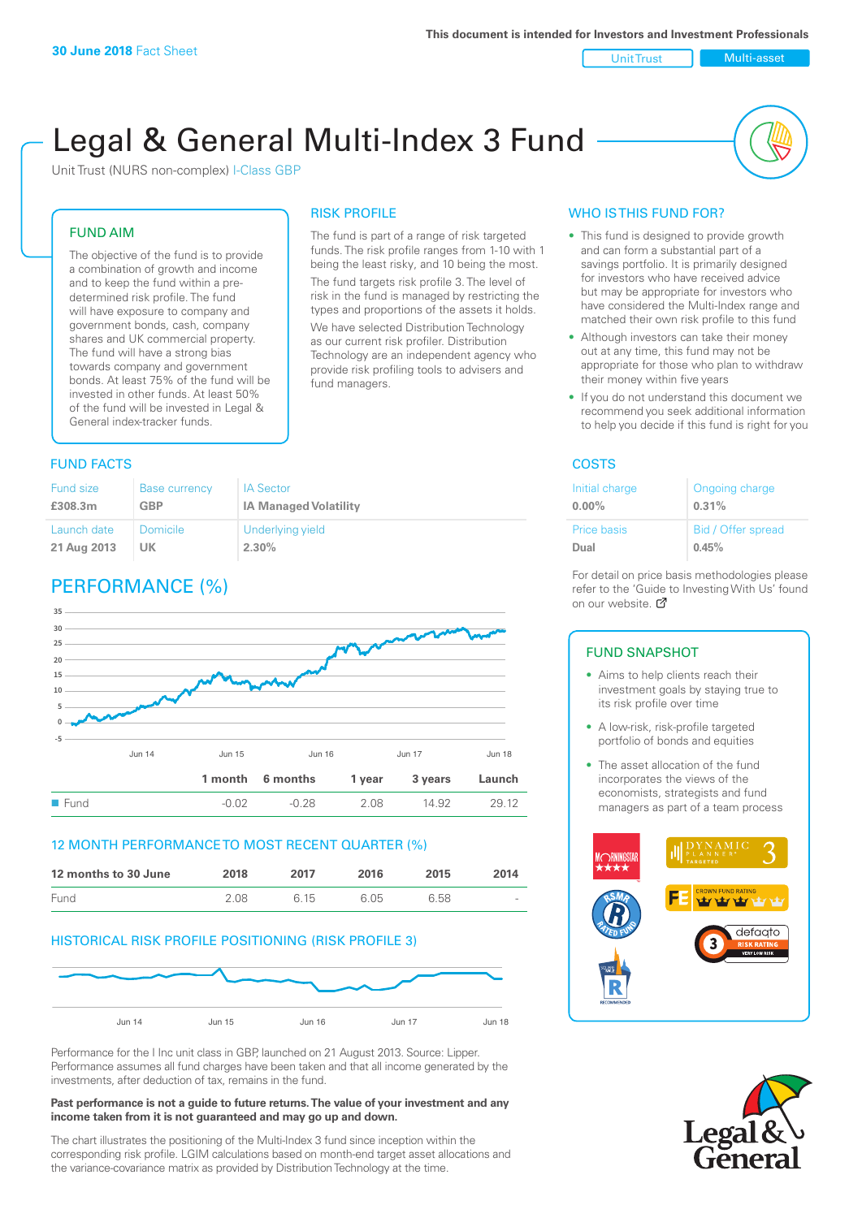Unit Trust Nulti-asset

# Legal & General Multi-Index 3 Fund

RISK PROFILE

fund managers.

The fund is part of a range of risk targeted funds. The risk profile ranges from 1-10 with 1 being the least risky, and 10 being the most. The fund targets risk profile 3. The level of risk in the fund is managed by restricting the types and proportions of the assets it holds. We have selected Distribution Technology as our current risk profiler. Distribution Technology are an independent agency who provide risk profiling tools to advisers and

Unit Trust (NURS non-complex) I-Class GBP

### FUND AIM

The objective of the fund is to provide a combination of growth and income and to keep the fund within a predetermined risk profile. The fund will have exposure to company and government bonds, cash, company shares and UK commercial property. The fund will have a strong bias towards company and government bonds. At least 75% of the fund will be invested in other funds. At least 50% of the fund will be invested in Legal & General index-tracker funds.

### **FUND FACTS** COSTS

#### Fund size **£308.3m** Base currency **GBP** IA Sector **IA Managed Volatility** Launch date **21 Aug 2013** Domicile **UK** Underlying yield **2.30%**

## PERFORMANCE (%)



### 12 MONTH PERFORMANCE TO MOST RECENT QUARTER (%)

| 12 months to 30 June | 2018 | 2017 | 2016 | 2015 | 2014   |
|----------------------|------|------|------|------|--------|
| Fund                 | 2.08 | 6.15 | 6.05 | 6.58 | $\sim$ |

### HISTORICAL RISK PROFILE POSITIONING (RISK PROFILE 3)



Performance for the I Inc unit class in GBP, launched on 21 August 2013. Source: Lipper. Performance assumes all fund charges have been taken and that all income generated by the investments, after deduction of tax, remains in the fund.

### **Past performance is not a guide to future returns. The value of your investment and any income taken from it is not guaranteed and may go up and down.**

The chart illustrates the positioning of the Multi-Index 3 fund since inception within the corresponding risk profile. LGIM calculations based on month-end target asset allocations and the variance-covariance matrix as provided by Distribution Technology at the time.

### WHO IS THIS FUND FOR?

- This fund is designed to provide growth and can form a substantial part of a savings portfolio. It is primarily designed for investors who have received advice but may be appropriate for investors who have considered the Multi-Index range and matched their own risk profile to this fund
- Although investors can take their money out at any time, this fund may not be appropriate for those who plan to withdraw their money within five years
- If you do not understand this document we recommend you seek additional information to help you decide if this fund is right for you

| Initial charge | Ongoing charge     |
|----------------|--------------------|
| $0.00\%$       | 0.31%              |
| Price basis    | Bid / Offer spread |
| Dual           | 0.45%              |

For detail on price basis methodologies please refer to the 'Gu[ide t](http://www.legalandgeneral.com/guide)o Investing With Us' found on our website. *C* 

### FUND SNAPSHOT

- Aims to help clients reach their investment goals by staying true to its risk profile over time
- A low-risk, risk-profile targeted portfolio of bonds and equities
- The asset allocation of the fund incorporates the views of the economists, strategists and fund managers as part of a team process



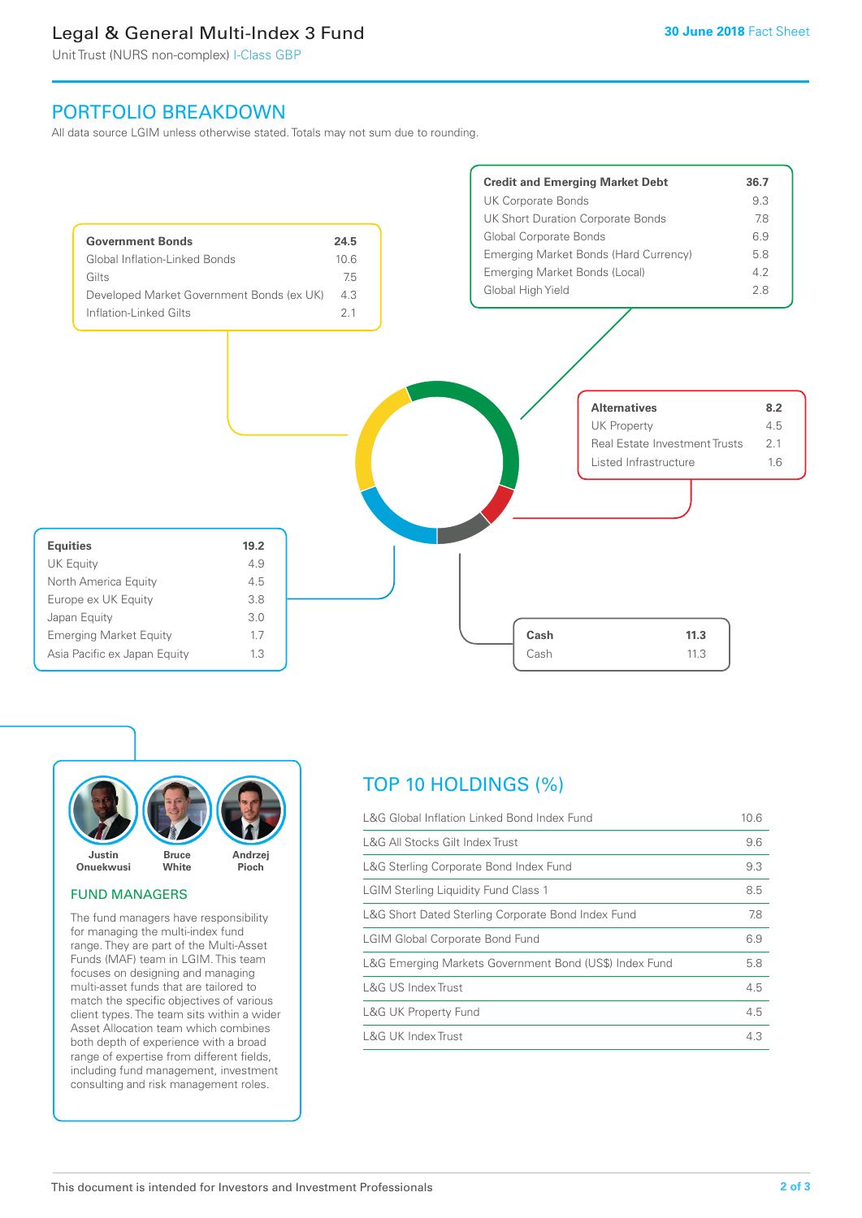## Legal & General Multi-Index 3 Fund

Unit Trust (NURS non-complex) I-Class GBP

### PORTFOLIO BREAKDOWN

All data source LGIM unless otherwise stated. Totals may not sum due to rounding.





### FUND MANAGERS

The fund managers have responsibility for managing the multi-index fund range. They are part of the Multi-Asset Funds (MAF) team in LGIM. This team focuses on designing and managing multi-asset funds that are tailored to match the specific objectives of various client types. The team sits within a wider Asset Allocation team which combines both depth of experience with a broad range of expertise from different fields, including fund management, investment consulting and risk management roles.

## TOP 10 HOLDINGS (%)

| L&G Global Inflation Linked Bond Index Fund            | 10.6 |
|--------------------------------------------------------|------|
| L&G All Stocks Gilt Index Trust                        | 9.6  |
| L&G Sterling Corporate Bond Index Fund                 | 9.3  |
| LGIM Sterling Liquidity Fund Class 1                   | 8.5  |
| L&G Short Dated Sterling Corporate Bond Index Fund     | 7.8  |
| <b>LGIM Global Corporate Bond Fund</b>                 | 6.9  |
| L&G Emerging Markets Government Bond (US\$) Index Fund | 5.8  |
| L&G US Index Trust                                     | 4.5  |
| L&G UK Property Fund                                   | 4.5  |
| L&G UK Index Trust                                     | 4.3  |